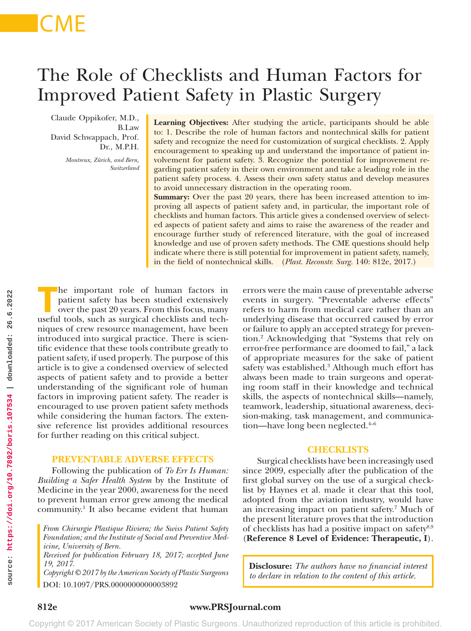# **I**CME

## The Role of Checklists and Human Factors for Improved Patient Safety in Plastic Surgery

Claude Oppikofer, M.D., B.Law David Schwappach, Prof. Dr., M.P.H.

> *Montreux, Zürich, and Bern, Switzerland*

**Learning Objectives:** After studying the article, participants should be able to: 1. Describe the role of human factors and nontechnical skills for patient safety and recognize the need for customization of surgical checklists. 2. Apply encouragement to speaking up and understand the importance of patient involvement for patient safety. 3. Recognize the potential for improvement regarding patient safety in their own environment and take a leading role in the patient safety process. 4. Assess their own safety status and develop measures to avoid unnecessary distraction in the operating room.

**Summary:** Over the past 20 years, there has been increased attention to improving all aspects of patient safety and, in particular, the important role of checklists and human factors. This article gives a condensed overview of selected aspects of patient safety and aims to raise the awareness of the reader and encourage further study of referenced literature, with the goal of increased knowledge and use of proven safety methods. The CME questions should help indicate where there is still potential for improvement in patient safety, namely, in the field of nontechnical skills. (*Plast. Reconstr. Surg.* 140: 812e, 2017.)

**T**he important role of human factors in patient safety has been studied extensively over the past 20 years. From this focus, many useful tools, such as surgical checklists and techniques of crew resource management, have been introduced into surgical practice. There is scientific evidence that these tools contribute greatly to patient safety, if used properly. The purpose of this article is to give a condensed overview of selected aspects of patient safety and to provide a better understanding of the significant role of human factors in improving patient safety. The reader is encouraged to use proven patient safety methods while considering the human factors. The extensive reference list provides additional resources for further reading on this critical subject.

#### **PREVENTABLE ADVERSE EFFECTS**

Following the publication of *To Err Is Human: Building a Safer Health System* by the Institute of Medicine in the year 2000, awareness for the need to prevent human error grew among the medical community.<sup>1</sup> It also became evident that human

*From Chirurgie Plastique Riviera; the Swiss Patient Safety Foundation; and the Institute of Social and Preventive Medicine, University of Bern.*

*Received for publication February 18, 2017; accepted June 19, 2017.*

*to declare in relation to the content of this article. Copyright © 2017 by the American Society of Plastic Surgeons* DOI: 10.1097/PRS.0000000000003892

errors were the main cause of preventable adverse events in surgery. "Preventable adverse effects" refers to harm from medical care rather than an underlying disease that occurred caused by error or failure to apply an accepted strategy for prevention.2 Acknowledging that "Systems that rely on error-free performance are doomed to fail," a lack of appropriate measures for the sake of patient safety was established.<sup>3</sup> Although much effort has always been made to train surgeons and operating room staff in their knowledge and technical skills, the aspects of nontechnical skills—namely, teamwork, leadership, situational awareness, decision-making, task management, and communication—have long been neglected. $4-6$ 

#### **CHECKLISTS**

Surgical checklists have been increasingly used since 2009, especially after the publication of the first global survey on the use of a surgical checklist by Haynes et al. made it clear that this tool, adopted from the aviation industry, would have an increasing impact on patient safety.7 Much of the present literature proves that the introduction of checklists has had a positive impact on safety<sup>8,9</sup> (**Reference 8 Level of Evidence: Therapeutic, I**).

**Disclosure:** *The authors have no financial interest* 

### **812e www.PRSJournal.com**

Copyright © 2017 American Society of Plastic Surgeons. Unauthorized reproduction of this article is prohibited.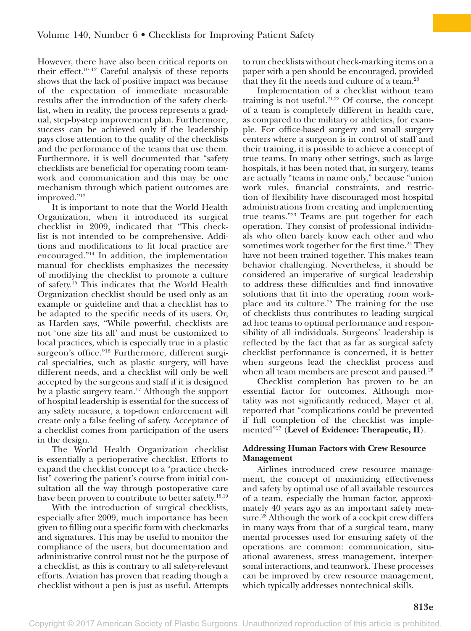However, there have also been critical reports on their effect.10–12 Careful analysis of these reports shows that the lack of positive impact was because of the expectation of immediate measurable results after the introduction of the safety checklist, when in reality, the process represents a gradual, step-by-step improvement plan. Furthermore, success can be achieved only if the leadership pays close attention to the quality of the checklists and the performance of the teams that use them. Furthermore, it is well documented that "safety checklists are beneficial for operating room teamwork and communication and this may be one mechanism through which patient outcomes are improved."13

It is important to note that the World Health Organization, when it introduced its surgical checklist in 2009, indicated that "This checklist is not intended to be comprehensive. Additions and modifications to fit local practice are encouraged."14 In addition, the implementation manual for checklists emphasizes the necessity of modifying the checklist to promote a culture of safety.15 This indicates that the World Health Organization checklist should be used only as an example or guideline and that a checklist has to be adapted to the specific needs of its users. Or, as Harden says, "While powerful, checklists are not 'one size fits all' and must be customized to local practices, which is especially true in a plastic surgeon's office."16 Furthermore, different surgical specialties, such as plastic surgery, will have different needs, and a checklist will only be well accepted by the surgeons and staff if it is designed by a plastic surgery team.17 Although the support of hospital leadership is essential for the success of any safety measure, a top-down enforcement will create only a false feeling of safety. Acceptance of a checklist comes from participation of the users in the design.

The World Health Organization checklist is essentially a perioperative checklist. Efforts to expand the checklist concept to a "practice checklist" covering the patient's course from initial consultation all the way through postoperative care have been proven to contribute to better safety.<sup>18,19</sup>

With the introduction of surgical checklists, especially after 2009, much importance has been given to filling out a specific form with checkmarks and signatures. This may be useful to monitor the compliance of the users, but documentation and administrative control must not be the purpose of a checklist, as this is contrary to all safety-relevant efforts. Aviation has proven that reading though a checklist without a pen is just as useful. Attempts

to run checklists without check-marking items on a paper with a pen should be encouraged, provided that they fit the needs and culture of a team.20

Implementation of a checklist without team training is not useful. $21,22$  Of course, the concept of a team is completely different in health care, as compared to the military or athletics, for example. For office-based surgery and small surgery centers where a surgeon is in control of staff and their training, it is possible to achieve a concept of true teams. In many other settings, such as large hospitals, it has been noted that, in surgery, teams are actually "teams in name only," because "union work rules, financial constraints, and restriction of flexibility have discouraged most hospital administrations from creating and implementing true teams."23 Teams are put together for each operation. They consist of professional individuals who often barely know each other and who sometimes work together for the first time.<sup>24</sup> They have not been trained together. This makes team behavior challenging. Nevertheless, it should be considered an imperative of surgical leadership to address these difficulties and find innovative solutions that fit into the operating room workplace and its culture.<sup>25</sup> The training for the use of checklists thus contributes to leading surgical ad hoc teams to optimal performance and responsibility of all individuals. Surgeons' leadership is reflected by the fact that as far as surgical safety checklist performance is concerned, it is better when surgeons lead the checklist process and when all team members are present and paused.<sup>26</sup>

Checklist completion has proven to be an essential factor for outcomes. Although mortality was not significantly reduced, Mayer et al. reported that "complications could be prevented if full completion of the checklist was implemented"27 (**Level of Evidence: Therapeutic, II**).

#### **Addressing Human Factors with Crew Resource Management**

Airlines introduced crew resource management, the concept of maximizing effectiveness and safety by optimal use of all available resources of a team, especially the human factor, approximately 40 years ago as an important safety measure.<sup>28</sup> Although the work of a cockpit crew differs in many ways from that of a surgical team, many mental processes used for ensuring safety of the operations are common: communication, situational awareness, stress management, interpersonal interactions, and teamwork. These processes can be improved by crew resource management, which typically addresses nontechnical skills.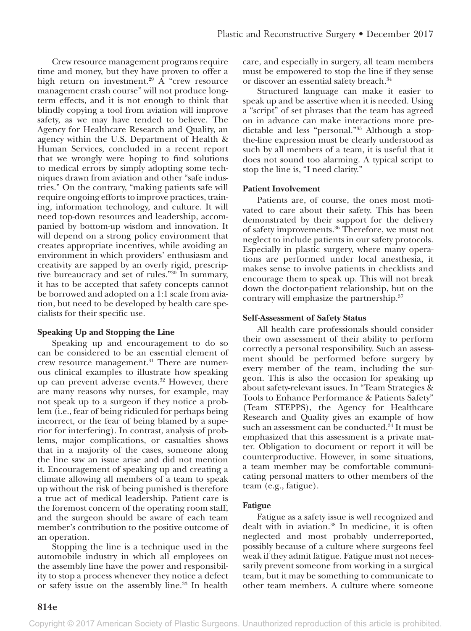Crew resource management programs require time and money, but they have proven to offer a high return on investment.<sup>29</sup>  $\overline{A}$  "crew resource" management crash course" will not produce longterm effects, and it is not enough to think that blindly copying a tool from aviation will improve safety, as we may have tended to believe. The Agency for Healthcare Research and Quality, an agency within the U.S. Department of Health & Human Services, concluded in a recent report that we wrongly were hoping to find solutions to medical errors by simply adopting some techniques drawn from aviation and other "safe industries." On the contrary, "making patients safe will require ongoing efforts to improve practices, training, information technology, and culture. It will need top-down resources and leadership, accompanied by bottom-up wisdom and innovation. It will depend on a strong policy environment that creates appropriate incentives, while avoiding an environment in which providers' enthusiasm and creativity are sapped by an overly rigid, prescriptive bureaucracy and set of rules."30 In summary, it has to be accepted that safety concepts cannot be borrowed and adopted on a 1:1 scale from aviation, but need to be developed by health care specialists for their specific use.

#### **Speaking Up and Stopping the Line**

Speaking up and encouragement to do so can be considered to be an essential element of crew resource management.<sup>31</sup> There are numerous clinical examples to illustrate how speaking up can prevent adverse events.<sup>32</sup> However, there are many reasons why nurses, for example, may not speak up to a surgeon if they notice a problem (i.e., fear of being ridiculed for perhaps being incorrect, or the fear of being blamed by a superior for interfering). In contrast, analysis of problems, major complications, or casualties shows that in a majority of the cases, someone along the line saw an issue arise and did not mention it. Encouragement of speaking up and creating a climate allowing all members of a team to speak up without the risk of being punished is therefore a true act of medical leadership. Patient care is the foremost concern of the operating room staff, and the surgeon should be aware of each team member's contribution to the positive outcome of an operation.

Stopping the line is a technique used in the automobile industry in which all employees on the assembly line have the power and responsibility to stop a process whenever they notice a defect or safety issue on the assembly line.<sup>33</sup> In health

care, and especially in surgery, all team members must be empowered to stop the line if they sense or discover an essential safety breach.34

Structured language can make it easier to speak up and be assertive when it is needed. Using a "script" of set phrases that the team has agreed on in advance can make interactions more predictable and less "personal."35 Although a stopthe-line expression must be clearly understood as such by all members of a team, it is useful that it does not sound too alarming. A typical script to stop the line is, "I need clarity."

#### **Patient Involvement**

Patients are, of course, the ones most motivated to care about their safety. This has been demonstrated by their support for the delivery of safety improvements.36 Therefore, we must not neglect to include patients in our safety protocols. Especially in plastic surgery, where many operations are performed under local anesthesia, it makes sense to involve patients in checklists and encourage them to speak up. This will not break down the doctor-patient relationship, but on the contrary will emphasize the partnership.<sup>37</sup>

#### **Self-Assessment of Safety Status**

All health care professionals should consider their own assessment of their ability to perform correctly a personal responsibility. Such an assessment should be performed before surgery by every member of the team, including the surgeon. This is also the occasion for speaking up about safety-relevant issues. In "Team Strategies & Tools to Enhance Performance & Patients Safety" (Team STEPPS), the Agency for Healthcare Research and Quality gives an example of how such an assessment can be conducted.<sup>34</sup> It must be emphasized that this assessment is a private matter. Obligation to document or report it will be counterproductive. However, in some situations, a team member may be comfortable communicating personal matters to other members of the team (e.g., fatigue).

#### **Fatigue**

Fatigue as a safety issue is well recognized and dealt with in aviation.38 In medicine, it is often neglected and most probably underreported, possibly because of a culture where surgeons feel weak if they admit fatigue. Fatigue must not necessarily prevent someone from working in a surgical team, but it may be something to communicate to other team members. A culture where someone

Copyright © 2017 American Society of Plastic Surgeons. Unauthorized reproduction of this article is prohibited.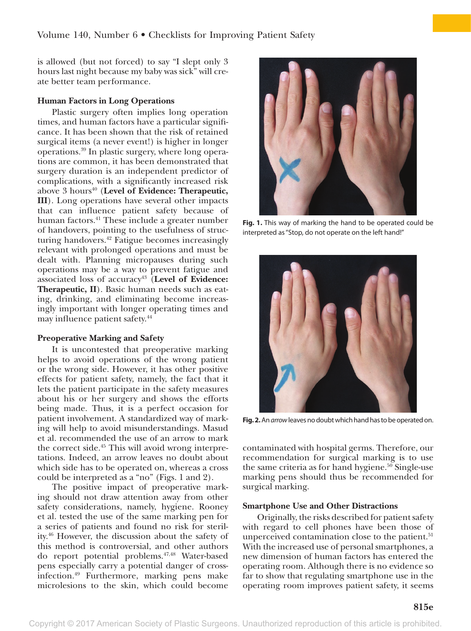is allowed (but not forced) to say "I slept only 3 hours last night because my baby was sick" will create better team performance.

#### **Human Factors in Long Operations**

Plastic surgery often implies long operation times, and human factors have a particular significance. It has been shown that the risk of retained surgical items (a never event!) is higher in longer operations.39 In plastic surgery, where long operations are common, it has been demonstrated that surgery duration is an independent predictor of complications, with a significantly increased risk above 3 hours<sup>40</sup> (Level of Evidence: Therapeutic, **III**). Long operations have several other impacts that can influence patient safety because of human factors.<sup>41</sup> These include a greater number of handovers, pointing to the usefulness of structuring handovers.<sup>42</sup> Fatigue becomes increasingly relevant with prolonged operations and must be dealt with. Planning micropauses during such operations may be a way to prevent fatigue and associated loss of accuracy<sup>43</sup> (Level of Evidence: **Therapeutic, II**). Basic human needs such as eating, drinking, and eliminating become increasingly important with longer operating times and may influence patient safety.<sup>44</sup>

#### **Preoperative Marking and Safety**

It is uncontested that preoperative marking helps to avoid operations of the wrong patient or the wrong side. However, it has other positive effects for patient safety, namely, the fact that it lets the patient participate in the safety measures about his or her surgery and shows the efforts being made. Thus, it is a perfect occasion for patient involvement. A standardized way of marking will help to avoid misunderstandings. Masud et al. recommended the use of an arrow to mark the correct side.<sup>45</sup> This will avoid wrong interpretations. Indeed, an arrow leaves no doubt about which side has to be operated on, whereas a cross could be interpreted as a "no" (Figs. 1 and 2).

The positive impact of preoperative marking should not draw attention away from other safety considerations, namely, hygiene. Rooney et al. tested the use of the same marking pen for a series of patients and found no risk for sterility.46 However, the discussion about the safety of this method is controversial, and other authors do report potential problems.<sup>47,48</sup> Water-based pens especially carry a potential danger of crossinfection.<sup>49</sup> Furthermore, marking pens make microlesions to the skin, which could become



**Fig. 1.** This way of marking the hand to be operated could be interpreted as "Stop, do not operate on the left hand!"



**Fig. 2.** An *arrow* leaves no doubt which hand has to be operated on.

contaminated with hospital germs. Therefore, our recommendation for surgical marking is to use the same criteria as for hand hygiene.<sup>50</sup> Single-use marking pens should thus be recommended for surgical marking.

#### **Smartphone Use and Other Distractions**

Originally, the risks described for patient safety with regard to cell phones have been those of unperceived contamination close to the patient. $51$ With the increased use of personal smartphones, a new dimension of human factors has entered the operating room. Although there is no evidence so far to show that regulating smartphone use in the operating room improves patient safety, it seems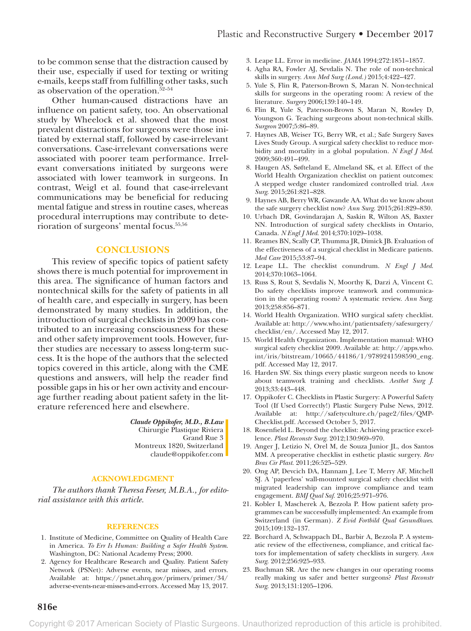to be common sense that the distraction caused by their use, especially if used for texting or writing e-mails, keeps staff from fulfilling other tasks, such as observation of the operation.52–54

Other human-caused distractions have an influence on patient safety, too. An observational study by Wheelock et al. showed that the most prevalent distractions for surgeons were those initiated by external staff, followed by case-irrelevant conversations. Case-irrelevant conversations were associated with poorer team performance. Irrelevant conversations initiated by surgeons were associated with lower teamwork in surgeons. In contrast, Weigl et al. found that case-irrelevant communications may be beneficial for reducing mental fatigue and stress in routine cases, whereas procedural interruptions may contribute to deterioration of surgeons' mental focus.55,56

#### **CONCLUSIONS**

This review of specific topics of patient safety shows there is much potential for improvement in this area. The significance of human factors and nontechnical skills for the safety of patients in all of health care, and especially in surgery, has been demonstrated by many studies. In addition, the introduction of surgical checklists in 2009 has contributed to an increasing consciousness for these and other safety improvement tools. However, further studies are necessary to assess long-term success. It is the hope of the authors that the selected topics covered in this article, along with the CME questions and answers, will help the reader find possible gaps in his or her own activity and encourage further reading about patient safety in the literature referenced here and elsewhere.

> *Claude Oppikofer, M.D., B.Law* Chirurgie Plastique Riviera Grand Rue 3 Montreux 1820, Switzerland [claude@oppikofer.com](mailto:claude@oppikofer.com)

#### **ACKNOWLEDGMENT**

*The authors thank Theresa Feeser, M.B.A., for editorial assistance with this article.*

#### **REFERENCES**

- 1. Institute of Medicine, Committee on Quality of Health Care in America. *To Err Is Human: Building a Safer Health System*. Washington, DC: National Academy Press; 2000.
- 2. Agency for Healthcare Research and Quality. Patient Safety Network (PSNet): Adverse events, near misses, and errors. Available at: [https://psnet.ahrq.gov/primers/primer/34/](https://psnet.ahrq.gov/primers/primer/34/adverse-events-near-misses-and-errors) [adverse-events-near-misses-and-errors](https://psnet.ahrq.gov/primers/primer/34/adverse-events-near-misses-and-errors). Accessed May 13, 2017.
- 3. Leape LL. Error in medicine. *JAMA* 1994;272:1851–1857.
- 4. Agha RA, Fowler AJ, Sevdalis N. The role of non-technical skills in surgery. *Ann Med Surg (Lond.)* 2015;4:422–427.
- 5. Yule S, Flin R, Paterson-Brown S, Maran N. Non-technical skills for surgeons in the operating room: A review of the literature. *Surgery* 2006;139:140–149.
- 6. Flin R, Yule S, Paterson-Brown S, Maran N, Rowley D, Youngson G. Teaching surgeons about non-technical skills. *Surgeon* 2007;5:86–89.
- 7. Haynes AB, Weiser TG, Berry WR, et al.; Safe Surgery Saves Lives Study Group. A surgical safety checklist to reduce morbidity and mortality in a global population. *N Engl J Med*. 2009;360:491–499.
- 8. Haugen AS, Søfteland E, Almeland SK, et al. Effect of the World Health Organization checklist on patient outcomes: A stepped wedge cluster randomized controlled trial. *Ann Surg*. 2015;261:821–828.
- 9. Haynes AB, Berry WR, Gawande AA. What do we know about the safe surgery checklist now? *Ann Surg*. 2015;261:829–830.
- 10. Urbach DR, Govindarajan A, Saskin R, Wilton AS, Baxter NN. Introduction of surgical safety checklists in Ontario, Canada. *N Engl J Med*. 2014;370:1029–1038.
- 11. Reames BN, Scally CP, Thumma JR, Dimick JB. Evaluation of the effectiveness of a surgical checklist in Medicare patients. *Med Care* 2015;53:87–94.
- 12. Leape LL. The checklist conundrum. *N Engl J Med*. 2014;370:1063–1064.
- 13. Russ S, Rout S, Sevdalis N, Moorthy K, Darzi A, Vincent C. Do safety checklists improve teamwork and communication in the operating room? A systematic review. *Ann Surg*. 2013;258:856–871.
- 14. World Health Organization. WHO surgical safety checklist. Available at: [http://www.who.int/patientsafety/safesurgery/](http://www.who.int/patientsafety/safesurgery/checklist/en/) [checklist/en/.](http://www.who.int/patientsafety/safesurgery/checklist/en/) Accessed May 12, 2017.
- 15. World Health Organization. Implementation manual: WHO surgical safety checklist 2009. Available at: [http://apps.who.](http://apps.who.int/iris/bitstream/10665/44186/1/9789241598590_eng.pdf) [int/iris/bitstream/10665/44186/1/9789241598590\\_eng.](http://apps.who.int/iris/bitstream/10665/44186/1/9789241598590_eng.pdf) [pdf](http://apps.who.int/iris/bitstream/10665/44186/1/9789241598590_eng.pdf). Accessed May 12, 2017.
- 16. Harden SW. Six things every plastic surgeon needs to know about teamwork training and checklists. *Aesthet Surg J*. 2013;33:443–448.
- 17. Oppikofer C. Checklists in Plastic Surgery: A Powerful Safety Tool (If Used Correctly!) Plastic Surgery Pulse News, 2012. Available at: [http://safetyculture.ch/page2/files/QMP-](http://safetyculture.ch/page2/files/QMP-Checklist.pdf)[Checklist.pdf](http://safetyculture.ch/page2/files/QMP-Checklist.pdf). Accessed October 5, 2017.
- 18. Rosenfield L. Beyond the checklist: Achieving practice excellence. *Plast Reconstr Surg*. 2012;130:969–970.
- 19. Anger J, Letizio N, Orel M, de Souza Junior JL, dos Santos MM. A preoperative checklist in esthetic plastic surgery. *Rev Bras Cir Plast*. 2011;26:525–529.
- 20. Ong AP, Devcich DA, Hannam J, Lee T, Merry AF, Mitchell SJ. A 'paperless' wall-mounted surgical safety checklist with migrated leadership can improve compliance and team engagement. *BMJ Qual Saf*. 2016;25:971–976.
- 21. Kobler I, Mascherek A, Bezzola P. How patient safety programmes can be successfully implemented: An example from Switzerland (in German). *Z Evid Fortbild Qual Gesundhwes*. 2015;109:132–137.
- 22. Borchard A, Schwappach DL, Barbir A, Bezzola P. A systematic review of the effectiveness, compliance, and critical factors for implementation of safety checklists in surgery. *Ann Surg*. 2012;256:925–933.
- 23. Buchman SR. Are the new changes in our operating rooms really making us safer and better surgeons? *Plast Reconstr Surg*. 2013;131:1205–1206.